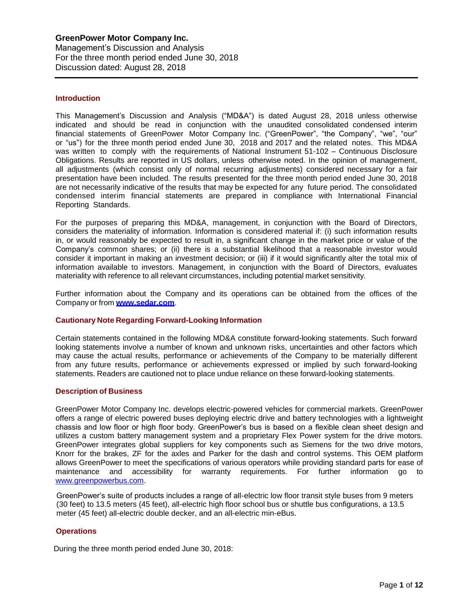## **Introduction**

This Management's Discussion and Analysis ("MD&A") is dated August 28, 2018 unless otherwise indicated and should be read in conjunction with the unaudited consolidated condensed interim financial statements of GreenPower Motor Company Inc. ("GreenPower", "the Company", "we", "our" or "us") for the three month period ended June 30, 2018 and 2017 and the related notes. This MD&A was written to comply with the requirements of National Instrument 51-102 – Continuous Disclosure Obligations. Results are reported in US dollars, unless otherwise noted. In the opinion of management, all adjustments (which consist only of normal recurring adjustments) considered necessary for a fair presentation have been included. The results presented for the three month period ended June 30, 2018 are not necessarily indicative of the results that may be expected for any future period. The consolidated condensed interim financial statements are prepared in compliance with International Financial Reporting Standards.

For the purposes of preparing this MD&A, management, in conjunction with the Board of Directors, considers the materiality of information. Information is considered material if: (i) such information results in, or would reasonably be expected to result in, a significant change in the market price or value of the Company's common shares; or (ii) there is a substantial likelihood that a reasonable investor would consider it important in making an investment decision; or (iii) if it would significantly alter the total mix of information available to investors. Management, in conjunction with the Board of Directors, evaluates materiality with reference to all relevant circumstances, including potential market sensitivity.

Further information about the Company and its operations can be obtained from the offices of the Company or from **[www.sedar.com](http://www.sedar.com/)**.

## **Cautionary Note Regarding Forward-Looking Information**

Certain statements contained in the following MD&A constitute forward-looking statements. Such forward looking statements involve a number of known and unknown risks, uncertainties and other factors which may cause the actual results, performance or achievements of the Company to be materially different from any future results, performance or achievements expressed or implied by such forward-looking statements. Readers are cautioned not to place undue reliance on these forward-looking statements.

#### **Description of Business**

GreenPower Motor Company Inc. develops electric-powered vehicles for commercial markets. GreenPower offers a range of electric powered buses deploying electric drive and battery technologies with a lightweight chassis and low floor or high floor body. GreenPower's bus is based on a flexible clean sheet design and utilizes a custom battery management system and a proprietary Flex Power system for the drive motors. GreenPower integrates global suppliers for key components such as Siemens for the two drive motors, Knorr for the brakes, ZF for the axles and Parker for the dash and control systems. This OEM platform allows GreenPower to meet the specifications of various operators while providing standard parts for ease of maintenance and accessibility for warranty requirements. For further information go to [www.greenpowerbus.com.](http://www.greenpowerbus.com/)

GreenPower's suite of products includes a range of all-electric low floor transit style buses from 9 meters (30 feet) to 13.5 meters (45 feet), all-electric high floor school bus or shuttle bus configurations, a 13.5 meter (45 feet) all-electric double decker, and an all-electric min-eBus.

## **Operations**

During the three month period ended June 30, 2018: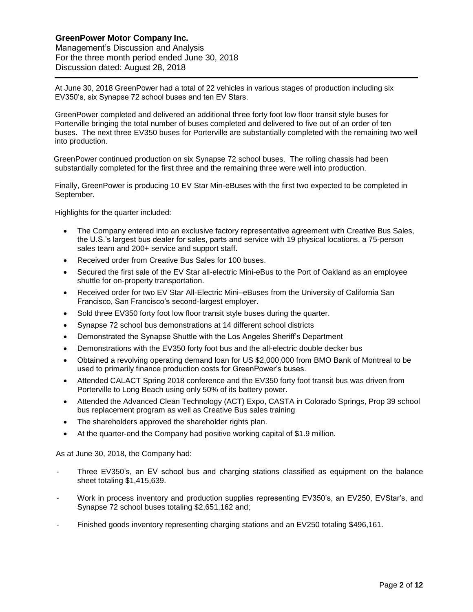Management's Discussion and Analysis For the three month period ended June 30, 2018 Discussion dated: August 28, 2018

At June 30, 2018 GreenPower had a total of 22 vehicles in various stages of production including six EV350's, six Synapse 72 school buses and ten EV Stars.

GreenPower completed and delivered an additional three forty foot low floor transit style buses for Porterville bringing the total number of buses completed and delivered to five out of an order of ten buses. The next three EV350 buses for Porterville are substantially completed with the remaining two well into production.

 GreenPower continued production on six Synapse 72 school buses. The rolling chassis had been substantially completed for the first three and the remaining three were well into production.

Finally, GreenPower is producing 10 EV Star Min-eBuses with the first two expected to be completed in September.

Highlights for the quarter included:

- The Company entered into an exclusive factory representative agreement with Creative Bus Sales, the U.S.'s largest bus dealer for sales, parts and service with 19 physical locations, a 75-person sales team and 200+ service and support staff.
- Received order from Creative Bus Sales for 100 buses.
- Secured the first sale of the EV Star all-electric Mini-eBus to the Port of Oakland as an employee shuttle for on-property transportation.
- Received order for two EV Star All-Electric Mini–eBuses from the University of California San Francisco, San Francisco's second-largest employer.
- Sold three EV350 forty foot low floor transit style buses during the quarter.
- Synapse 72 school bus demonstrations at 14 different school districts
- Demonstrated the Synapse Shuttle with the Los Angeles Sheriff's Department
- Demonstrations with the EV350 forty foot bus and the all-electric double decker bus
- Obtained a revolving operating demand loan for US \$2,000,000 from BMO Bank of Montreal to be used to primarily finance production costs for GreenPower's buses.
- Attended CALACT Spring 2018 conference and the EV350 forty foot transit bus was driven from Porterville to Long Beach using only 50% of its battery power.
- Attended the Advanced Clean Technology (ACT) Expo, CASTA in Colorado Springs, Prop 39 school bus replacement program as well as Creative Bus sales training
- The shareholders approved the shareholder rights plan.
- At the quarter-end the Company had positive working capital of \$1.9 million.

As at June 30, 2018, the Company had:

- Three EV350's, an EV school bus and charging stations classified as equipment on the balance sheet totaling \$1,415,639.
- Work in process inventory and production supplies representing EV350's, an EV250, EVStar's, and Synapse 72 school buses totaling \$2,651,162 and;
- Finished goods inventory representing charging stations and an EV250 totaling \$496,161.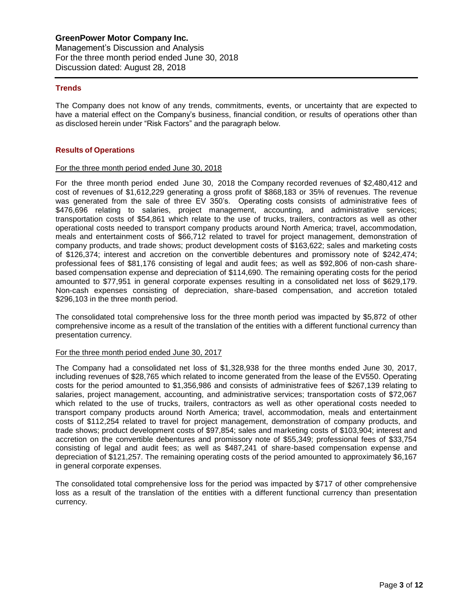## **Trends**

The Company does not know of any trends, commitments, events, or uncertainty that are expected to have a material effect on the Company's business, financial condition, or results of operations other than as disclosed herein under "Risk Factors" and the paragraph below.

#### **Results of Operations**

#### For the three month period ended June 30, 2018

For the three month period ended June 30, 2018 the Company recorded revenues of \$2,480,412 and cost of revenues of \$1,612,229 generating a gross profit of \$868,183 or 35% of revenues. The revenue was generated from the sale of three EV 350's. Operating costs consists of administrative fees of \$476,696 relating to salaries, project management, accounting, and administrative services; transportation costs of \$54,861 which relate to the use of trucks, trailers, contractors as well as other operational costs needed to transport company products around North America; travel, accommodation, meals and entertainment costs of \$66,712 related to travel for project management, demonstration of company products, and trade shows; product development costs of \$163,622; sales and marketing costs of \$126,374; interest and accretion on the convertible debentures and promissory note of \$242,474; professional fees of \$81,176 consisting of legal and audit fees; as well as \$92,806 of non-cash sharebased compensation expense and depreciation of \$114,690. The remaining operating costs for the period amounted to \$77,951 in general corporate expenses resulting in a consolidated net loss of \$629,179. Non-cash expenses consisting of depreciation, share-based compensation, and accretion totaled \$296,103 in the three month period.

The consolidated total comprehensive loss for the three month period was impacted by \$5,872 of other comprehensive income as a result of the translation of the entities with a different functional currency than presentation currency.

## For the three month period ended June 30, 2017

The Company had a consolidated net loss of \$1,328,938 for the three months ended June 30, 2017, including revenues of \$28,765 which related to income generated from the lease of the EV550. Operating costs for the period amounted to \$1,356,986 and consists of administrative fees of \$267,139 relating to salaries, project management, accounting, and administrative services; transportation costs of \$72,067 which related to the use of trucks, trailers, contractors as well as other operational costs needed to transport company products around North America; travel, accommodation, meals and entertainment costs of \$112,254 related to travel for project management, demonstration of company products, and trade shows; product development costs of \$97,854; sales and marketing costs of \$103,904; interest and accretion on the convertible debentures and promissory note of \$55,349; professional fees of \$33,754 consisting of legal and audit fees; as well as \$487,241 of share-based compensation expense and depreciation of \$121,257. The remaining operating costs of the period amounted to approximately \$6,167 in general corporate expenses.

The consolidated total comprehensive loss for the period was impacted by \$717 of other comprehensive loss as a result of the translation of the entities with a different functional currency than presentation currency.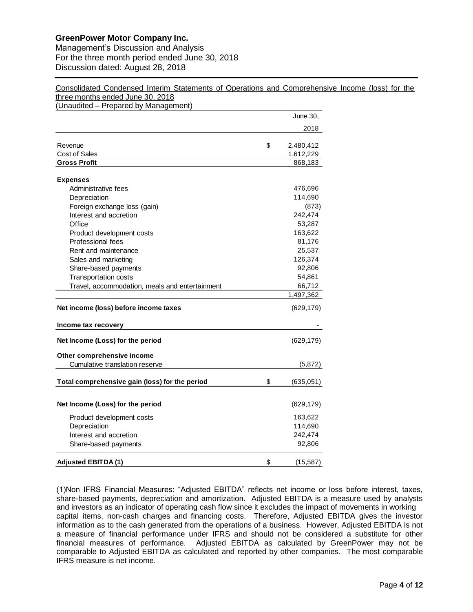Management's Discussion and Analysis For the three month period ended June 30, 2018 Discussion dated: August 28, 2018

Consolidated Condensed Interim Statements of Operations and Comprehensive Income (loss) for the three months ended June 30, 2018

(Unaudited – Prepared by Management) Evernue<br>
2018<br>
Contact Singles<br>
2018<br>
Constantine fees<br>
Porpositering fees<br>
Porpositering fees<br>
Porpositering fees<br>
Porpositering fees<br>
Porpositering fees<br>
Porpositering fees<br>
Porpositering fees<br>
Porpositering fees<br>
Porp 2018 Revenue **8 2,480,412** Cost of Sales 1,612,229 **Gross Profit** 868,183 **Expenses** Administrative fees 476,696 Depreciation 114,690 Foreign exchange loss (gain) (873) Interest and accretion 242,474 Office 53,287 Product development costs 163,622 Professional fees 81,176 Rent and maintenance **25,537** Sales and marketing 126,374 Share-based payments 92,806 Transportation costs 54,861 Travel, accommodation, meals and entertainment 66,712 1,497,362 **Net income (loss) before income taxes** (629,179) **Income tax recovery Net Income (Loss) for the period** (629,179) **Other comprehensive income** Cumulative translation reserve (5,872) **Total comprehensive gain (loss) for the period** \$ (635,051) **Net Income (Loss) for the period** (629,179) Product development costs 163,622 Depreciation 114,690 Interest and accretion 242,474 Share-based payments 92,806 **Adjusted EBITDA (1)** \$ (15,587)

(1)Non IFRS Financial Measures: "Adjusted EBITDA" reflects net income or loss before interest, taxes, share-based payments, depreciation and amortization. Adjusted EBITDA is a measure used by analysts and investors as an indicator of operating cash flow since it excludes the impact of movements in working capital items, non-cash charges and financing costs. Therefore, Adjusted EBITDA gives the investor information as to the cash generated from the operations of a business. However, Adjusted EBITDA is not a measure of financial performance under IFRS and should not be considered a substitute for other financial measures of performance. Adjusted EBITDA as calculated by GreenPower may not be comparable to Adjusted EBITDA as calculated and reported by other companies. The most comparable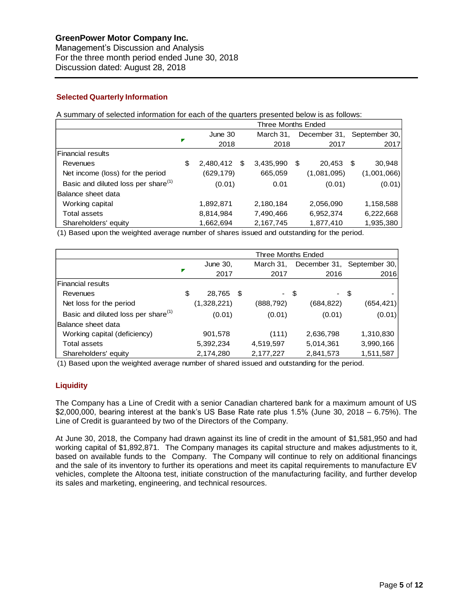Management's Discussion and Analysis For the three month period ended June 30, 2018 Discussion dated: August 28, 2018

# **Selected Quarterly Information**

A summary of selected information for each of the quarters presented below is as follows:

|                                                 | <b>Three Months Ended</b> |           |   |           |    |              |      |               |
|-------------------------------------------------|---------------------------|-----------|---|-----------|----|--------------|------|---------------|
|                                                 |                           | June 30   |   | March 31. |    | December 31, |      | September 30. |
|                                                 | Г                         | 2018      |   | 2018      |    | 2017         |      | 2017          |
| Financial results                               |                           |           |   |           |    |              |      |               |
| Revenues                                        | \$                        | 2,480,412 | S | 3,435,990 | \$ | 20,453       | - \$ | 30,948        |
| Net income (loss) for the period                |                           | (629,179) |   | 665,059   |    | (1,081,095)  |      | (1,001,066)   |
| Basic and diluted loss per share <sup>(1)</sup> |                           | (0.01)    |   | 0.01      |    | (0.01)       |      | (0.01)        |
| Balance sheet data                              |                           |           |   |           |    |              |      |               |
| Working capital                                 |                           | 1,892,871 |   | 2,180,184 |    | 2,056,090    |      | 1,158,588     |
| <b>Total assets</b>                             |                           | 8,814,984 |   | 7,490,466 |    | 6,952,374    |      | 6,222,668     |
| Shareholders' equity                            |                           | 1,662,694 |   | 2,167,745 |    | 1,877,410    |      | 1,935,380     |

(1) Based upon the weighted average number of shares issued and outstanding for the period.

|                                                 | <b>Three Months Ended</b> |             |  |            |           |                            |  |
|-------------------------------------------------|---------------------------|-------------|--|------------|-----------|----------------------------|--|
|                                                 |                           | June 30,    |  | March 31,  |           | December 31, September 30, |  |
|                                                 |                           | 2017        |  | 2017       | 2016      | 2016                       |  |
| <b>Financial results</b>                        |                           |             |  |            |           |                            |  |
| Revenues                                        | \$                        | 28,765 \$   |  | - \$       | - \$      |                            |  |
| Net loss for the period                         |                           | (1,328,221) |  | (888, 792) | (684,822) | (654,421)                  |  |
| Basic and diluted loss per share <sup>(1)</sup> |                           | (0.01)      |  | (0.01)     | (0.01)    | (0.01)                     |  |
| Balance sheet data                              |                           |             |  |            |           |                            |  |
| Working capital (deficiency)                    |                           | 901,578     |  | (111)      | 2,636,798 | 1,310,830                  |  |
| <b>Total assets</b>                             |                           | 5,392,234   |  | 4,519,597  | 5,014,361 | 3,990,166                  |  |
| Shareholders' equity                            |                           | 2,174,280   |  | 2,177,227  | 2,841,573 | 1,511,587                  |  |

(1) Based upon the weighted average number of shared issued and outstanding for the period.

# **Liquidity**

The Company has a Line of Credit with a senior Canadian chartered bank for a maximum amount of US \$2,000,000, bearing interest at the bank's US Base Rate rate plus 1.5% (June 30, 2018 – 6.75%). The Line of Credit is guaranteed by two of the Directors of the Company.

At June 30, 2018, the Company had drawn against its line of credit in the amount of \$1,581,950 and had working capital of \$1,892,871. The Company manages its capital structure and makes adjustments to it, based on available funds to the Company. The Company will continue to rely on additional financings and the sale of its inventory to further its operations and meet its capital requirements to manufacture EV vehicles, complete the Altoona test, initiate construction of the manufacturing facility, and further develop its sales and marketing, engineering, and technical resources.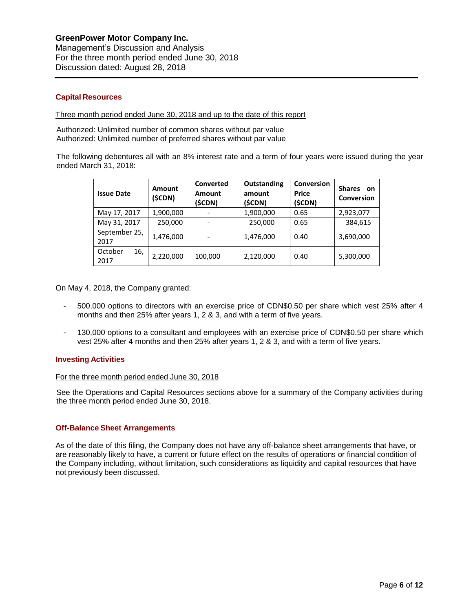## **Capital Resources**

Three month period ended June 30, 2018 and up to the date of this report

Authorized: Unlimited number of common shares without par value Authorized: Unlimited number of preferred shares without par value

The following debentures all with an 8% interest rate and a term of four years were issued during the year ended March 31, 2018:

| <b>Issue Date</b>      | Amount<br>(\$CDN) | Converted<br><b>Amount</b><br>(\$CDN) | Outstanding<br>amount<br>(\$CDN) | Conversion<br><b>Price</b><br>(\$CDN) | <b>Shares</b><br>on<br><b>Conversion</b> |
|------------------------|-------------------|---------------------------------------|----------------------------------|---------------------------------------|------------------------------------------|
| May 17, 2017           | 1,900,000         |                                       | 1,900,000                        | 0.65                                  | 2,923,077                                |
| May 31, 2017           | 250,000           |                                       | 250,000                          | 0.65                                  | 384,615                                  |
| September 25,<br>2017  | 1,476,000         |                                       | 1,476,000                        | 0.40                                  | 3,690,000                                |
| October<br>16,<br>2017 | 2,220,000         | 100,000                               | 2,120,000                        | 0.40                                  | 5,300,000                                |

On May 4, 2018, the Company granted:

- 500,000 options to directors with an exercise price of CDN\$0.50 per share which vest 25% after 4 months and then 25% after years 1, 2 & 3, and with a term of five years.
- 130,000 options to a consultant and employees with an exercise price of CDN\$0.50 per share which vest 25% after 4 months and then 25% after years 1, 2 & 3, and with a term of five years.

## **Investing Activities**

#### For the three month period ended June 30, 2018

See the Operations and Capital Resources sections above for a summary of the Company activities during the three month period ended June 30, 2018.

## **Off-Balance Sheet Arrangements**

As of the date of this filing, the Company does not have any off-balance sheet arrangements that have, or are reasonably likely to have, a current or future effect on the results of operations or financial condition of the Company including, without limitation, such considerations as liquidity and capital resources that have not previously been discussed.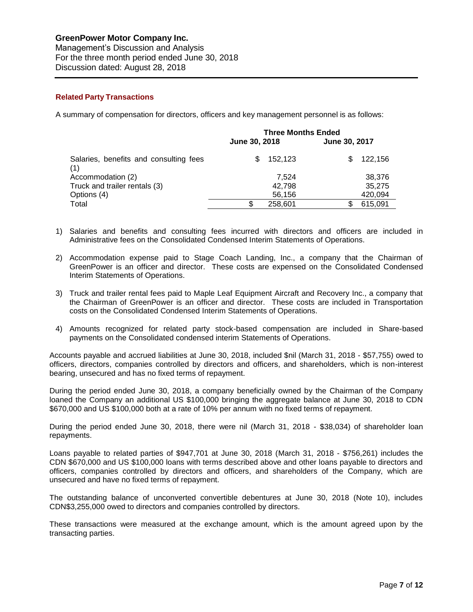Management's Discussion and Analysis For the three month period ended June 30, 2018 Discussion dated: August 28, 2018

# **Related Party Transactions**

A summary of compensation for directors, officers and key management personnel is as follows:

|                                               | June 30, 2018 | <b>Three Months Ended</b> | June 30, 2017 |         |  |
|-----------------------------------------------|---------------|---------------------------|---------------|---------|--|
|                                               |               |                           |               |         |  |
| Salaries, benefits and consulting fees<br>(1) | S             | 152.123                   | SS.           | 122.156 |  |
| Accommodation (2)                             |               | 7.524                     |               | 38,376  |  |
| Truck and trailer rentals (3)                 |               | 42.798                    |               | 35.275  |  |
| Options (4)                                   |               | 56,156                    |               | 420,094 |  |
| Total                                         | S.            | 258,601                   |               | 615,091 |  |

- 1) Salaries and benefits and consulting fees incurred with directors and officers are included in Administrative fees on the Consolidated Condensed Interim Statements of Operations.
- 2) Accommodation expense paid to Stage Coach Landing, Inc., a company that the Chairman of GreenPower is an officer and director. These costs are expensed on the Consolidated Condensed Interim Statements of Operations.
- 3) Truck and trailer rental fees paid to Maple Leaf Equipment Aircraft and Recovery Inc., a company that the Chairman of GreenPower is an officer and director. These costs are included in Transportation costs on the Consolidated Condensed Interim Statements of Operations.
- 4) Amounts recognized for related party stock-based compensation are included in Share-based payments on the Consolidated condensed interim Statements of Operations.

Accounts payable and accrued liabilities at June 30, 2018, included \$nil (March 31, 2018 - \$57,755) owed to officers, directors, companies controlled by directors and officers, and shareholders, which is non-interest bearing, unsecured and has no fixed terms of repayment.

During the period ended June 30, 2018, a company beneficially owned by the Chairman of the Company loaned the Company an additional US \$100,000 bringing the aggregate balance at June 30, 2018 to CDN \$670,000 and US \$100,000 both at a rate of 10% per annum with no fixed terms of repayment.

During the period ended June 30, 2018, there were nil (March 31, 2018 - \$38,034) of shareholder loan repayments.

Loans payable to related parties of \$947,701 at June 30, 2018 (March 31, 2018 - \$756,261) includes the CDN \$670,000 and US \$100,000 loans with terms described above and other loans payable to directors and officers, companies controlled by directors and officers, and shareholders of the Company, which are unsecured and have no fixed terms of repayment.

The outstanding balance of unconverted convertible debentures at June 30, 2018 (Note 10), includes CDN\$3,255,000 owed to directors and companies controlled by directors.

These transactions were measured at the exchange amount, which is the amount agreed upon by the transacting parties.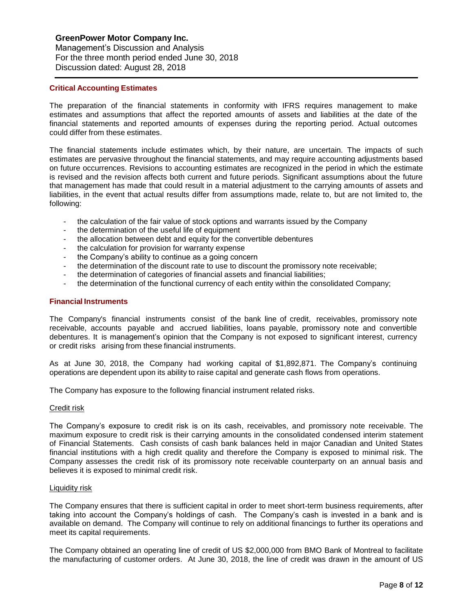Management's Discussion and Analysis For the three month period ended June 30, 2018 Discussion dated: August 28, 2018

## **Critical Accounting Estimates**

The preparation of the financial statements in conformity with IFRS requires management to make estimates and assumptions that affect the reported amounts of assets and liabilities at the date of the financial statements and reported amounts of expenses during the reporting period. Actual outcomes could differ from these estimates.

The financial statements include estimates which, by their nature, are uncertain. The impacts of such estimates are pervasive throughout the financial statements, and may require accounting adjustments based on future occurrences. Revisions to accounting estimates are recognized in the period in which the estimate is revised and the revision affects both current and future periods. Significant assumptions about the future that management has made that could result in a material adjustment to the carrying amounts of assets and liabilities, in the event that actual results differ from assumptions made, relate to, but are not limited to, the following:

- the calculation of the fair value of stock options and warrants issued by the Company
- the determination of the useful life of equipment
- the allocation between debt and equity for the convertible debentures
- the calculation for provision for warranty expense
- the Company's ability to continue as a going concern
- the determination of the discount rate to use to discount the promissory note receivable;
- the determination of categories of financial assets and financial liabilities;
- the determination of the functional currency of each entity within the consolidated Company;

## **Financial Instruments**

The Company's financial instruments consist of the bank line of credit, receivables, promissory note receivable, accounts payable and accrued liabilities, loans payable, promissory note and convertible debentures. It is management's opinion that the Company is not exposed to significant interest, currency or credit risks arising from these financial instruments.

As at June 30, 2018, the Company had working capital of \$1,892,871. The Company's continuing operations are dependent upon its ability to raise capital and generate cash flows from operations.

The Company has exposure to the following financial instrument related risks.

## Credit risk

The Company's exposure to credit risk is on its cash, receivables, and promissory note receivable. The maximum exposure to credit risk is their carrying amounts in the consolidated condensed interim statement of Financial Statements. Cash consists of cash bank balances held in major Canadian and United States financial institutions with a high credit quality and therefore the Company is exposed to minimal risk. The Company assesses the credit risk of its promissory note receivable counterparty on an annual basis and believes it is exposed to minimal credit risk.

## Liquidity risk

The Company ensures that there is sufficient capital in order to meet short-term business requirements, after taking into account the Company's holdings of cash. The Company's cash is invested in a bank and is available on demand. The Company will continue to rely on additional financings to further its operations and meet its capital requirements.

The Company obtained an operating line of credit of US \$2,000,000 from BMO Bank of Montreal to facilitate the manufacturing of customer orders. At June 30, 2018, the line of credit was drawn in the amount of US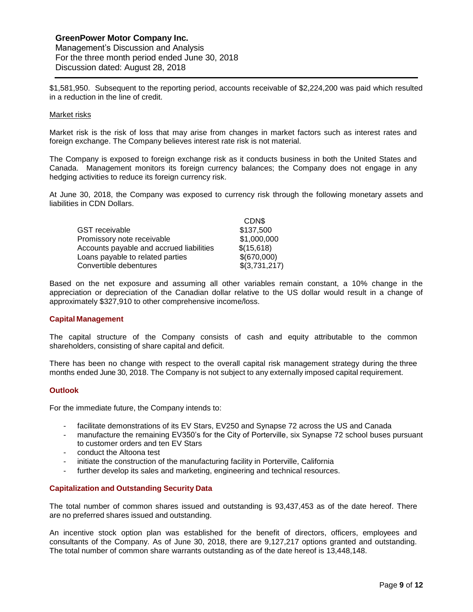Management's Discussion and Analysis For the three month period ended June 30, 2018 Discussion dated: August 28, 2018

\$1,581,950. Subsequent to the reporting period, accounts receivable of \$2,224,200 was paid which resulted in a reduction in the line of credit.

#### Market risks

Market risk is the risk of loss that may arise from changes in market factors such as interest rates and foreign exchange. The Company believes interest rate risk is not material.

The Company is exposed to foreign exchange risk as it conducts business in both the United States and Canada. Management monitors its foreign currency balances; the Company does not engage in any hedging activities to reduce its foreign currency risk.

At June 30, 2018, the Company was exposed to currency risk through the following monetary assets and liabilities in CDN Dollars.

|                                          | CDN\$         |
|------------------------------------------|---------------|
| GST receivable                           | \$137,500     |
| Promissory note receivable               | \$1,000,000   |
| Accounts payable and accrued liabilities | \$(15,618)    |
| Loans payable to related parties         | \$(670,000)   |
| Convertible debentures                   | \$(3,731,217) |

Based on the net exposure and assuming all other variables remain constant, a 10% change in the appreciation or depreciation of the Canadian dollar relative to the US dollar would result in a change of approximately \$327,910 to other comprehensive income/loss.

## **Capital Management**

The capital structure of the Company consists of cash and equity attributable to the common shareholders, consisting of share capital and deficit.

There has been no change with respect to the overall capital risk management strategy during the three months ended June 30, 2018. The Company is not subject to any externally imposed capital requirement.

## **Outlook**

For the immediate future, the Company intends to:

- facilitate demonstrations of its EV Stars, EV250 and Synapse 72 across the US and Canada
- manufacture the remaining EV350's for the City of Porterville, six Synapse 72 school buses pursuant to customer orders and ten EV Stars
- conduct the Altoona test
- initiate the construction of the manufacturing facility in Porterville, California
- further develop its sales and marketing, engineering and technical resources.

#### **Capitalization and Outstanding Security Data**

The total number of common shares issued and outstanding is 93,437,453 as of the date hereof. There are no preferred shares issued and outstanding.

An incentive stock option plan was established for the benefit of directors, officers, employees and consultants of the Company. As of June 30, 2018, there are 9,127,217 options granted and outstanding. The total number of common share warrants outstanding as of the date hereof is 13,448,148.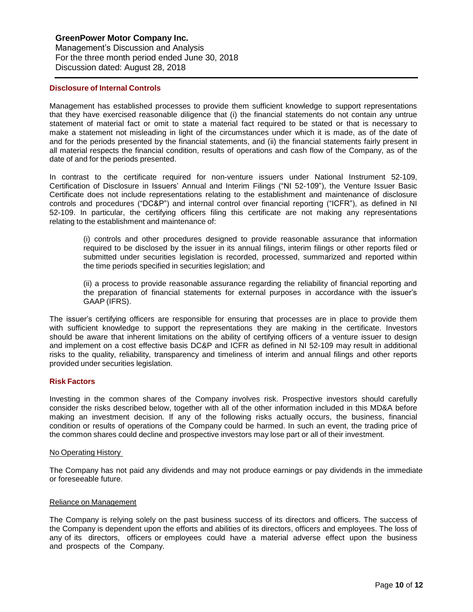#### **Disclosure of Internal Controls**

Management has established processes to provide them sufficient knowledge to support representations that they have exercised reasonable diligence that (i) the financial statements do not contain any untrue statement of material fact or omit to state a material fact required to be stated or that is necessary to make a statement not misleading in light of the circumstances under which it is made, as of the date of and for the periods presented by the financial statements, and (ii) the financial statements fairly present in all material respects the financial condition, results of operations and cash flow of the Company, as of the date of and for the periods presented.

In contrast to the certificate required for non-venture issuers under National Instrument 52-109, Certification of Disclosure in Issuers' Annual and Interim Filings ("NI 52-109"), the Venture Issuer Basic Certificate does not include representations relating to the establishment and maintenance of disclosure controls and procedures ("DC&P") and internal control over financial reporting ("ICFR"), as defined in NI 52-109. In particular, the certifying officers filing this certificate are not making any representations relating to the establishment and maintenance of:

(i) controls and other procedures designed to provide reasonable assurance that information required to be disclosed by the issuer in its annual filings, interim filings or other reports filed or submitted under securities legislation is recorded, processed, summarized and reported within the time periods specified in securities legislation; and

(ii) a process to provide reasonable assurance regarding the reliability of financial reporting and the preparation of financial statements for external purposes in accordance with the issuer's GAAP (IFRS).

The issuer's certifying officers are responsible for ensuring that processes are in place to provide them with sufficient knowledge to support the representations they are making in the certificate. Investors should be aware that inherent limitations on the ability of certifying officers of a venture issuer to design and implement on a cost effective basis DC&P and ICFR as defined in NI 52-109 may result in additional risks to the quality, reliability, transparency and timeliness of interim and annual filings and other reports provided under securities legislation.

#### **Risk Factors**

Investing in the common shares of the Company involves risk. Prospective investors should carefully consider the risks described below, together with all of the other information included in this MD&A before making an investment decision. If any of the following risks actually occurs, the business, financial condition or results of operations of the Company could be harmed. In such an event, the trading price of the common shares could decline and prospective investors may lose part or all of their investment.

#### No Operating History

The Company has not paid any dividends and may not produce earnings or pay dividends in the immediate or foreseeable future.

#### Reliance on Management

The Company is relying solely on the past business success of its directors and officers. The success of the Company is dependent upon the efforts and abilities of its directors, officers and employees. The loss of any of its directors, officers or employees could have a material adverse effect upon the business and prospects of the Company.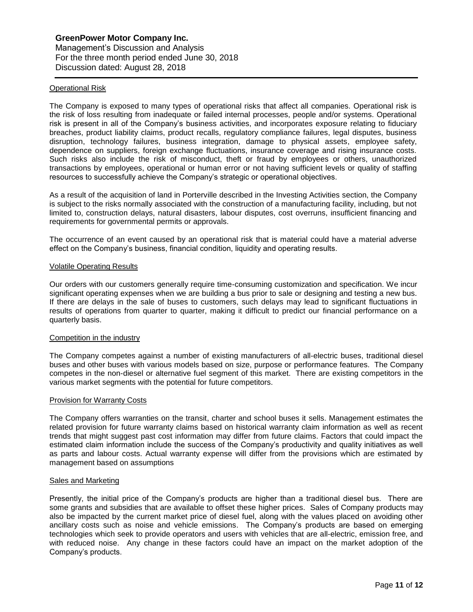#### Operational Risk

The Company is exposed to many types of operational risks that affect all companies. Operational risk is the risk of loss resulting from inadequate or failed internal processes, people and/or systems. Operational risk is present in all of the Company's business activities, and incorporates exposure relating to fiduciary breaches, product liability claims, product recalls, regulatory compliance failures, legal disputes, business disruption, technology failures, business integration, damage to physical assets, employee safety, dependence on suppliers, foreign exchange fluctuations, insurance coverage and rising insurance costs. Such risks also include the risk of misconduct, theft or fraud by employees or others, unauthorized transactions by employees, operational or human error or not having sufficient levels or quality of staffing resources to successfully achieve the Company's strategic or operational objectives.

As a result of the acquisition of land in Porterville described in the Investing Activities section, the Company is subject to the risks normally associated with the construction of a manufacturing facility, including, but not limited to, construction delays, natural disasters, labour disputes, cost overruns, insufficient financing and requirements for governmental permits or approvals.

The occurrence of an event caused by an operational risk that is material could have a material adverse effect on the Company's business, financial condition, liquidity and operating results.

#### Volatile Operating Results

Our orders with our customers generally require time-consuming customization and specification. We incur significant operating expenses when we are building a bus prior to sale or designing and testing a new bus. If there are delays in the sale of buses to customers, such delays may lead to significant fluctuations in results of operations from quarter to quarter, making it difficult to predict our financial performance on a quarterly basis.

#### Competition in the industry

The Company competes against a number of existing manufacturers of all-electric buses, traditional diesel buses and other buses with various models based on size, purpose or performance features. The Company competes in the non-diesel or alternative fuel segment of this market. There are existing competitors in the various market segments with the potential for future competitors.

#### Provision for Warranty Costs

The Company offers warranties on the transit, charter and school buses it sells. Management estimates the related provision for future warranty claims based on historical warranty claim information as well as recent trends that might suggest past cost information may differ from future claims. Factors that could impact the estimated claim information include the success of the Company's productivity and quality initiatives as well as parts and labour costs. Actual warranty expense will differ from the provisions which are estimated by management based on assumptions

#### Sales and Marketing

Presently, the initial price of the Company's products are higher than a traditional diesel bus. There are some grants and subsidies that are available to offset these higher prices. Sales of Company products may also be impacted by the current market price of diesel fuel, along with the values placed on avoiding other ancillary costs such as noise and vehicle emissions. The Company's products are based on emerging technologies which seek to provide operators and users with vehicles that are all-electric, emission free, and with reduced noise. Any change in these factors could have an impact on the market adoption of the Company's products.